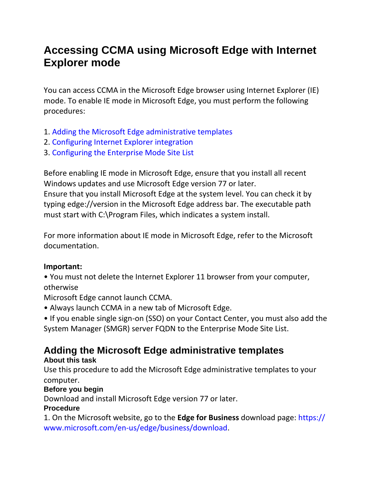# **Accessing CCMA using Microsoft Edge with Internet Explorer mode**

You can access CCMA in the Microsoft Edge browser using Internet Explorer (IE) mode. To enable IE mode in Microsoft Edge, you must perform the following procedures:

- 1. Adding the Microsoft Edge administrative templates
- 2. Configuring Internet Explorer integration
- 3. Configuring the Enterprise Mode Site List

Before enabling IE mode in Microsoft Edge, ensure that you install all recent Windows updates and use Microsoft Edge version 77 or later. Ensure that you install Microsoft Edge at the system level. You can check it by typing edge://version in the Microsoft Edge address bar. The executable path must start with C:\Program Files, which indicates a system install.

For more information about IE mode in Microsoft Edge, refer to the Microsoft documentation.

## **Important:**

• You must not delete the Internet Explorer 11 browser from your computer, otherwise

Microsoft Edge cannot launch CCMA.

- Always launch CCMA in a new tab of Microsoft Edge.
- If you enable single sign-on (SSO) on your Contact Center, you must also add the System Manager (SMGR) server FQDN to the Enterprise Mode Site List.

# **Adding the Microsoft Edge administrative templates**

# **About this task**

Use this procedure to add the Microsoft Edge administrative templates to your computer.

# **Before you begin**

Download and install Microsoft Edge version 77 or later.

# **Procedure**

1. On the Microsoft website, go to the **Edge for Business** download page: https:// www.microsoft.com/en-us/edge/business/download.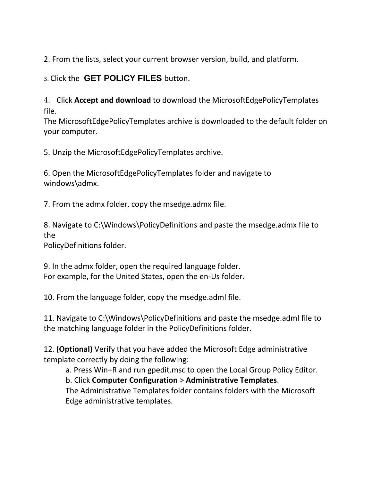2. From the lists, select your current browser version, build, and platform.

3. Click the **GET POLICY FILES** button.

4. Click **Accept and download** to download the MicrosoftEdgePolicyTemplates file.

The MicrosoftEdgePolicyTemplates archive is downloaded to the default folder on your computer.

5. Unzip the MicrosoftEdgePolicyTemplates archive.

6. Open the MicrosoftEdgePolicyTemplates folder and navigate to windows\admx.

7. From the admx folder, copy the msedge.admx file.

8. Navigate to C:\Windows\PolicyDefinitions and paste the msedge.admx file to the

PolicyDefinitions folder.

9. In the admx folder, open the required language folder. For example, for the United States, open the en-Us folder.

10. From the language folder, copy the msedge.adml file.

11. Navigate to C:\Windows\PolicyDefinitions and paste the msedge.adml file to the matching language folder in the PolicyDefinitions folder.

12. **(Optional)** Verify that you have added the Microsoft Edge administrative template correctly by doing the following:

a. Press Win+R and run gpedit.msc to open the Local Group Policy Editor.

b. Click **Computer Configuration** > **Administrative Templates**. The Administrative Templates folder contains folders with the Microsoft Edge administrative templates.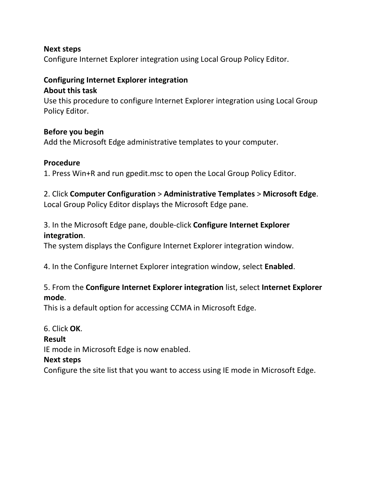#### **Next steps**

Configure Internet Explorer integration using Local Group Policy Editor.

#### **Configuring Internet Explorer integration About this task**

Use this procedure to configure Internet Explorer integration using Local Group Policy Editor.

#### **Before you begin**

Add the Microsoft Edge administrative templates to your computer.

#### **Procedure**

1. Press Win+R and run gpedit.msc to open the Local Group Policy Editor.

# 2. Click **Computer Configuration** > **Administrative Templates** > **Microsoft Edge**.

Local Group Policy Editor displays the Microsoft Edge pane.

## 3. In the Microsoft Edge pane, double-click **Configure Internet Explorer integration**.

The system displays the Configure Internet Explorer integration window.

4. In the Configure Internet Explorer integration window, select **Enabled**.

## 5. From the **Configure Internet Explorer integration** list, select **Internet Explorer mode**.

This is a default option for accessing CCMA in Microsoft Edge.

6. Click **OK**.

**Result**

IE mode in Microsoft Edge is now enabled.

#### **Next steps**

Configure the site list that you want to access using IE mode in Microsoft Edge.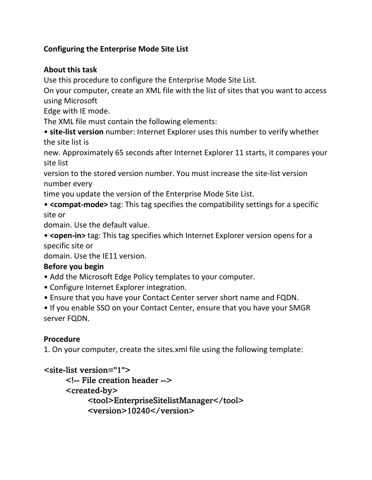## **Configuring the Enterprise Mode Site List**

### **About this task**

Use this procedure to configure the Enterprise Mode Site List.

On your computer, create an XML file with the list of sites that you want to access using Microsoft

Edge with IE mode.

The XML file must contain the following elements:

• **site-list version** number: Internet Explorer uses this number to verify whether the site list is

new. Approximately 65 seconds after Internet Explorer 11 starts, it compares your site list

version to the stored version number. You must increase the site-list version number every

time you update the version of the Enterprise Mode Site List.

• **<compat-mode>** tag: This tag specifies the compatibility settings for a specific site or

domain. Use the default value.

• **<open-in>** tag: This tag specifies which Internet Explorer version opens for a specific site or

domain. Use the IE11 version.

## **Before you begin**

- Add the Microsoft Edge Policy templates to your computer.
- Configure Internet Explorer integration.
- Ensure that you have your Contact Center server short name and FQDN.

• If you enable SSO on your Contact Center, ensure that you have your SMGR server FQDN.

## **Procedure**

1. On your computer, create the sites.xml file using the following template:

```
<site-list version="1">
     <!-- File creation header -->
     <created-by>
           <tool>EnterpriseSitelistManager</tool>
           <version>10240</version>
```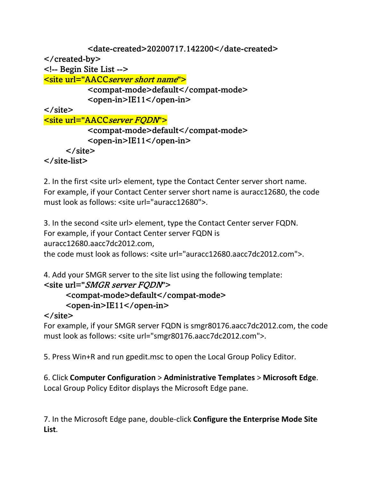```
<date-created>20200717.142200</date-created>
</created-by>
<!-- Begin Site List -->
<site url="AACCserver short name">
           <compat-mode>default</compat-mode>
           <open-in>IE11</open-in>
\langlesite\rangle<site url="AACCserver FQDN'>
           <compat-mode>default</compat-mode>
           <open-in>IE11</open-in>
     \langlesite\rangle
```
</site-list>

2. In the first <site url> element, type the Contact Center server short name. For example, if your Contact Center server short name is auracc12680, the code must look as follows: <site url="auracc12680">.

3. In the second <site url> element, type the Contact Center server FQDN. For example, if your Contact Center server FQDN is auracc12680.aacc7dc2012.com, the code must look as follows: <site url="auracc12680.aacc7dc2012.com">.

4. Add your SMGR server to the site list using the following template: <site url="SMGR server FQDN">

```
<compat-mode>default</compat-mode>
<open-in>IE11</open-in>
```
 $\langle$ site $\rangle$ 

For example, if your SMGR server FQDN is smgr80176.aacc7dc2012.com, the code must look as follows: <site url="smgr80176.aacc7dc2012.com">.

5. Press Win+R and run gpedit.msc to open the Local Group Policy Editor.

6. Click **Computer Configuration** > **Administrative Templates** > **Microsoft Edge**. Local Group Policy Editor displays the Microsoft Edge pane.

7. In the Microsoft Edge pane, double-click **Configure the Enterprise Mode Site List**.